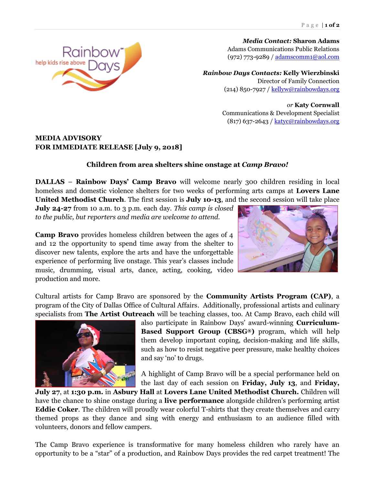*Media Contact:* **Sharon Adams** Adams Communications Public Relations (972) 773-9289 [/ adamscomm1@aol.com](mailto:adamscomm1@aol.com)

*Rainbow Days Contacts:* **Kelly Wierzbinski** Director of Family Connection (214) 850-7927 / [kellyw@rainbowdays.org](mailto:kellyw@rainbowdays.org)

> *or* **Katy Cornwall** Communications & Development Specialist  $(817)$  637-2643 / [katyc@rainbowdays.org](mailto:katyc@rainbowdays.org)

## **MEDIA ADVISORY FOR IMMEDIATE RELEASE [July 9, 2018]**

## **Children from area shelters shine onstage at** *Camp Bravo!*

**DALLAS** – **Rainbow Days' Camp Bravo** will welcome nearly 300 children residing in local homeless and domestic violence shelters for two weeks of performing arts camps at **Lovers Lane United Methodist Church**. The first session is **July 10-13**, and the second session will take place

**July 24-27** from 10 a.m. to 3 p.m. each day. *This camp is closed to the public, but reporters and media are welcome to attend.*

**Camp Bravo** provides homeless children between the ages of 4 and 12 the opportunity to spend time away from the shelter to discover new talents, explore the arts and have the unforgettable experience of performing live onstage. This year's classes include music, drumming, visual arts, dance, acting, cooking, video production and more.

Cultural artists for Camp Bravo are sponsored by the **Community Artists Program (CAP)**, a program of the City of Dallas Office of Cultural Affairs. Additionally, professional artists and culinary specialists from **The Artist Outreach** will be teaching classes, too. At Camp Bravo, each child will



also participate in Rainbow Days' award-winning **Curriculum-Based Support Group (CBSG®)** program, which will help them develop important coping, decision-making and life skills, such as how to resist negative peer pressure, make healthy choices and say 'no' to drugs.

A highlight of Camp Bravo will be a special performance held on the last day of each session on **Friday, July 13**, and **Friday,** 

**July 27**, at **1:30 p.m.** in **Asbury Hall** at **Lovers Lane United Methodist Church.** Children will have the chance to shine onstage during a **live performance** alongside children's performing artist **Eddie Coker**. The children will proudly wear colorful T-shirts that they create themselves and carry themed props as they dance and sing with energy and enthusiasm to an audience filled with volunteers, donors and fellow campers.

The Camp Bravo experience is transformative for many homeless children who rarely have an opportunity to be a "star" of a production, and Rainbow Days provides the red carpet treatment! The